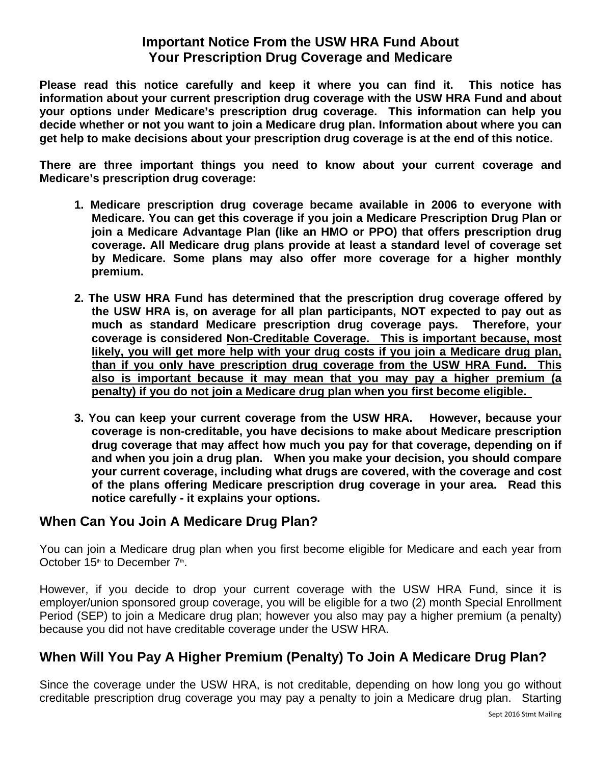## **Important Notice From the USW HRA Fund About Your Prescription Drug Coverage and Medicare**

**Please read this notice carefully and keep it where you can find it. This notice has information about your current prescription drug coverage with the USW HRA Fund and about your options under Medicare's prescription drug coverage. This information can help you decide whether or not you want to join a Medicare drug plan. Information about where you can get help to make decisions about your prescription drug coverage is at the end of this notice.** 

**There are three important things you need to know about your current coverage and Medicare's prescription drug coverage:** 

- **1. Medicare prescription drug coverage became available in 2006 to everyone with Medicare. You can get this coverage if you join a Medicare Prescription Drug Plan or join a Medicare Advantage Plan (like an HMO or PPO) that offers prescription drug coverage. All Medicare drug plans provide at least a standard level of coverage set by Medicare. Some plans may also offer more coverage for a higher monthly premium.**
- **2. The USW HRA Fund has determined that the prescription drug coverage offered by the USW HRA is, on average for all plan participants, NOT expected to pay out as much as standard Medicare prescription drug coverage pays. Therefore, your coverage is considered Non-Creditable Coverage. This is important because, most likely, you will get more help with your drug costs if you join a Medicare drug plan, than if you only have prescription drug coverage from the USW HRA Fund. This also is important because it may mean that you may pay a higher premium (a penalty) if you do not join a Medicare drug plan when you first become eligible.**
- **3. You can keep your current coverage from the USW HRA. However, because your coverage is non-creditable, you have decisions to make about Medicare prescription drug coverage that may affect how much you pay for that coverage, depending on if and when you join a drug plan. When you make your decision, you should compare your current coverage, including what drugs are covered, with the coverage and cost of the plans offering Medicare prescription drug coverage in your area. Read this notice carefully - it explains your options.**

# **When Can You Join A Medicare Drug Plan?**

You can join a Medicare drug plan when you first become eligible for Medicare and each year from October 15<sup>th</sup> to December  $7<sup>th</sup>$ .

However, if you decide to drop your current coverage with the USW HRA Fund, since it is employer/union sponsored group coverage, you will be eligible for a two (2) month Special Enrollment Period (SEP) to join a Medicare drug plan; however you also may pay a higher premium (a penalty) because you did not have creditable coverage under the USW HRA.

# **When Will You Pay A Higher Premium (Penalty) To Join A Medicare Drug Plan?**

Since the coverage under the USW HRA, is not creditable, depending on how long you go without creditable prescription drug coverage you may pay a penalty to join a Medicare drug plan. Starting